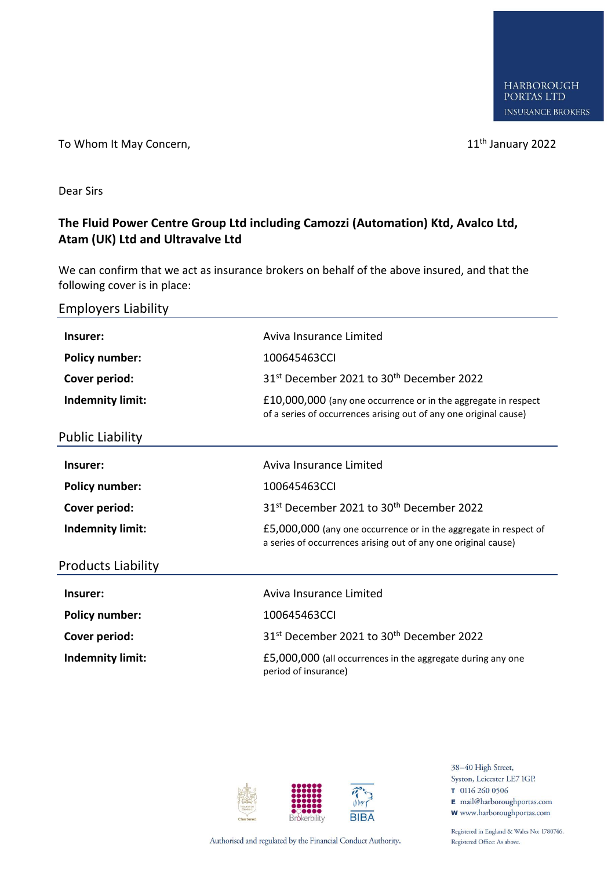To Whom It May Concern, The United States of the United States and the United States of the United States of the U

Dear Sirs

## **The Fluid Power Centre Group Ltd including Camozzi (Automation) Ktd, Avalco Ltd, Atam (UK) Ltd and Ultravalve Ltd**

We can confirm that we act as insurance brokers on behalf of the above insured, and that the following cover is in place:

Employers Liability

| Insurer:                  | Aviva Insurance Limited                                                                                                             |
|---------------------------|-------------------------------------------------------------------------------------------------------------------------------------|
| <b>Policy number:</b>     | 100645463CCI                                                                                                                        |
| Cover period:             | 31 <sup>st</sup> December 2021 to 30 <sup>th</sup> December 2022                                                                    |
| Indemnity limit:          | £10,000,000 (any one occurrence or in the aggregate in respect<br>of a series of occurrences arising out of any one original cause) |
| <b>Public Liability</b>   |                                                                                                                                     |
| Insurer:                  | Aviva Insurance Limited                                                                                                             |
| <b>Policy number:</b>     | 100645463CCL                                                                                                                        |
| Cover period:             | 31st December 2021 to 30 <sup>th</sup> December 2022                                                                                |
| <b>Indemnity limit:</b>   | £5,000,000 (any one occurrence or in the aggregate in respect of<br>a series of occurrences arising out of any one original cause)  |
| <b>Products Liability</b> |                                                                                                                                     |
| Insurer:                  | Aviva Insurance Limited                                                                                                             |
| <b>Policy number:</b>     | 100645463CCI                                                                                                                        |
| Cover period:             | 31 <sup>st</sup> December 2021 to 30 <sup>th</sup> December 2022                                                                    |
| <b>Indemnity limit:</b>   | £5,000,000 (all occurrences in the aggregate during any one<br>period of insurance)                                                 |



38-40 High Street, Syston, Leicester LE7 1GP. T 0116 260 0506 E mail@harboroughportas.com **W** www.harboroughportas.com

Authorised and regulated by the Financial Conduct Authority.

Registered in England & Wales No: 1780746. Registered Office: As above.